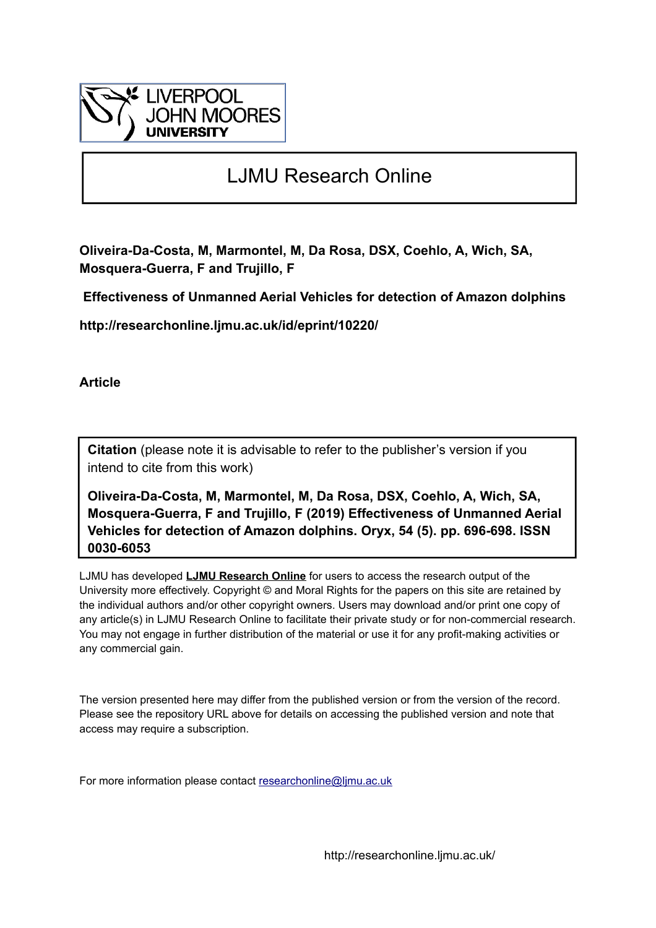

## LJMU Research Online

**Oliveira-Da-Costa, M, Marmontel, M, Da Rosa, DSX, Coehlo, A, Wich, SA, Mosquera-Guerra, F and Trujillo, F**

 **Effectiveness of Unmanned Aerial Vehicles for detection of Amazon dolphins**

**http://researchonline.ljmu.ac.uk/id/eprint/10220/**

**Article**

**Citation** (please note it is advisable to refer to the publisher's version if you intend to cite from this work)

**Oliveira-Da-Costa, M, Marmontel, M, Da Rosa, DSX, Coehlo, A, Wich, SA, Mosquera-Guerra, F and Trujillo, F (2019) Effectiveness of Unmanned Aerial Vehicles for detection of Amazon dolphins. Oryx, 54 (5). pp. 696-698. ISSN 0030-6053** 

LJMU has developed **[LJMU Research Online](http://researchonline.ljmu.ac.uk/)** for users to access the research output of the University more effectively. Copyright © and Moral Rights for the papers on this site are retained by the individual authors and/or other copyright owners. Users may download and/or print one copy of any article(s) in LJMU Research Online to facilitate their private study or for non-commercial research. You may not engage in further distribution of the material or use it for any profit-making activities or any commercial gain.

The version presented here may differ from the published version or from the version of the record. Please see the repository URL above for details on accessing the published version and note that access may require a subscription.

For more information please contact [researchonline@ljmu.ac.uk](mailto:researchonline@ljmu.ac.uk)

http://researchonline.ljmu.ac.uk/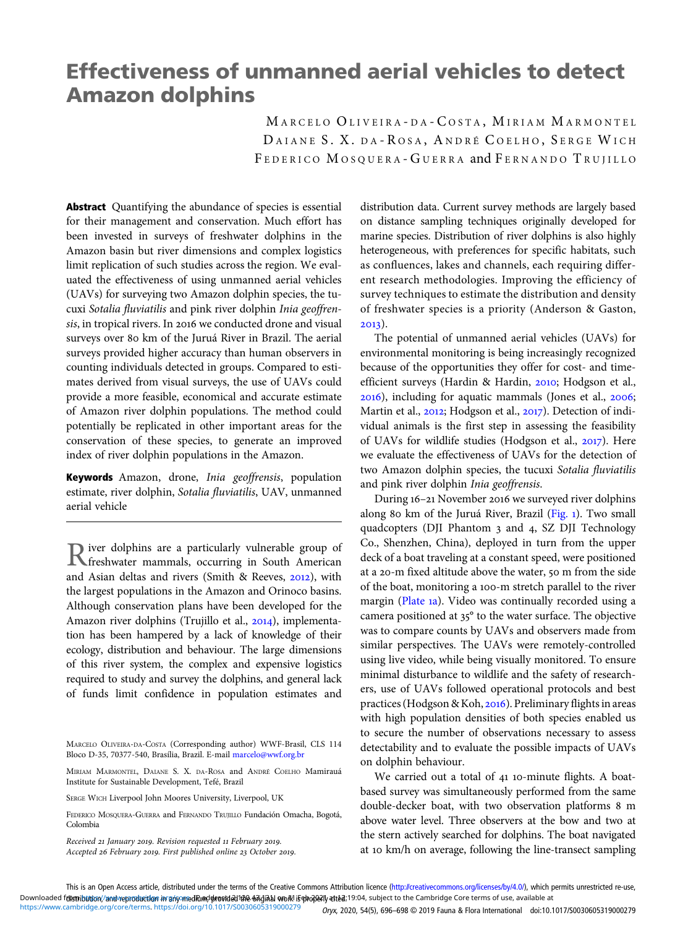## Effectiveness of unmanned aerial vehicles to detect Amazon dolphins

MARCELO OLIVEIRA-DA-COSTA, MIRIAM MARMONTEL DAIANE S. X. DA-ROSA, ANDRÉ COELHO, SERGE WICH FEDERICO MOSQUERA-GUERRA and FERNANDO TRUJILLO

Abstract Quantifying the abundance of species is essential for their management and conservation. Much effort has been invested in surveys of freshwater dolphins in the Amazon basin but river dimensions and complex logistics limit replication of such studies across the region. We evaluated the effectiveness of using unmanned aerial vehicles (UAVs) for surveying two Amazon dolphin species, the tucuxi Sotalia fluviatilis and pink river dolphin Inia geoffrensis, in tropical rivers. In 2016 we conducted drone and visual surveys over 80 km of the Juruá River in Brazil. The aerial surveys provided higher accuracy than human observers in counting individuals detected in groups. Compared to estimates derived from visual surveys, the use of UAVs could provide a more feasible, economical and accurate estimate of Amazon river dolphin populations. The method could potentially be replicated in other important areas for the conservation of these species, to generate an improved index of river dolphin populations in the Amazon.

Keywords Amazon, drone, Inia geoffrensis, population estimate, river dolphin, Sotalia fluviatilis, UAV, unmanned aerial vehicle

River dolphins are a particularly vulnerable group of<br> **Rivershwater mammals, occurring in South American** and Asian deltas and rivers (Smith & Reeves,  $2012$ ), with the largest populations in the Amazon and Orinoco basins. Although conservation plans have been developed for the Amazon river dolphins (Trujillo et al., 2014), implementation has been hampered by a lack of knowledge of their ecology, distribution and behaviour. The large dimensions of this river system, the complex and expensive logistics required to study and survey the dolphins, and general lack of funds limit confidence in population estimates and

Received 21 January 2019. Revision requested 11 February 2019. Accepted 26 February 2019. First published online 23 October 2019. distribution data. Current survey methods are largely based on distance sampling techniques originally developed for marine species. Distribution of river dolphins is also highly heterogeneous, with preferences for specific habitats, such as confluences, lakes and channels, each requiring different research methodologies. Improving the efficiency of survey techniques to estimate the distribution and density of freshwater species is a priority (Anderson & Gaston,  $2013$ ).

The potential of unmanned aerial vehicles (UAVs) for environmental monitoring is being increasingly recognized because of the opportunities they offer for cost- and timeefficient surveys (Hardin & Hardin, 2010; Hodgson et al.,  $2016$ ), including for aquatic mammals (Jones et al.,  $2006$ ; Martin et al., 2012; Hodgson et al., 2017). Detection of individual animals is the first step in assessing the feasibility of UAVs for wildlife studies (Hodgson et al., 2017). Here we evaluate the effectiveness of UAVs for the detection of two Amazon dolphin species, the tucuxi Sotalia fluviatilis and pink river dolphin Inia geoffrensis.

During 16-21 November 2016 we surveyed river dolphins along 80 km of the Juruá River, Brazil ([Fig.](#page-2-0) 1). Two small quadcopters (DJI Phantom 3 and 4, SZ DJI Technology Co., Shenzhen, China), deployed in turn from the upper deck of a boat traveling at a constant speed, were positioned at a 20-m fixed altitude above the water, 50 m from the side of the boat, monitoring a 100-m stretch parallel to the river margin ([Plate](#page-2-0) 1a). Video was continually recorded using a camera positioned at 35° to the water surface. The objective was to compare counts by UAVs and observers made from similar perspectives. The UAVs were remotely-controlled using live video, while being visually monitored. To ensure minimal disturbance to wildlife and the safety of researchers, use of UAVs followed operational protocols and best practices (Hodgson & Koh, 2016). Preliminary flights in areas with high population densities of both species enabled us to secure the number of observations necessary to assess detectability and to evaluate the possible impacts of UAVs on dolphin behaviour.

We carried out a total of 41 10-minute flights. A boatbased survey was simultaneously performed from the same double-decker boat, with two observation platforms 8 m above water level. Three observers at the bow and two at the stern actively searched for dolphins. The boat navigated at 10 km/h on average, following the line-transect sampling

[https://www.cambridge.org/core/terms.](https://www.cambridge.org/core/terms) <https://doi.org/10.1017/S0030605319000279> *Oryx*, 2020, 54(5), 696–698 © 2019 Fauna & Flora International doi:10.1017/S0030605319000279

MARCELO OLIVEIRA-DA-COSTA (Corresponding author) WWF-Brasil, CLS 114 Bloco D-35, 70377-540, Brasília, Brazil. E-mail [marcelo@wwf.org.br](mailto:marcelo@wwf.org.br)

MIRIAM MARMONTEL, DAIANE S. X. DA-ROSA and ANDRÉ COELHO Mamirauá Institute for Sustainable Development, Tefé, Brazil

SERGE WICH Liverpool John Moores University, Liverpool, UK

FEDERICO MOSQUERA-GUERRA and FERNANDO TRUJILLO Fundación Omacha, Bogotá, Colombia

This is an Open Access article, distributed under the terms of the Creative Commons Attribution licence [\(http://creativecommons.org/licenses/by/4.0/\)](http://creativecommons.org/licenses/by/4.0/), which permits unrestricted re-use, Downloaded f**demibut**ion//andvreproduct**io**n in any medium/wronded the ቆብქበብ woll is thopely attea:19:04, subject to the Cambridge Core terms of use, available at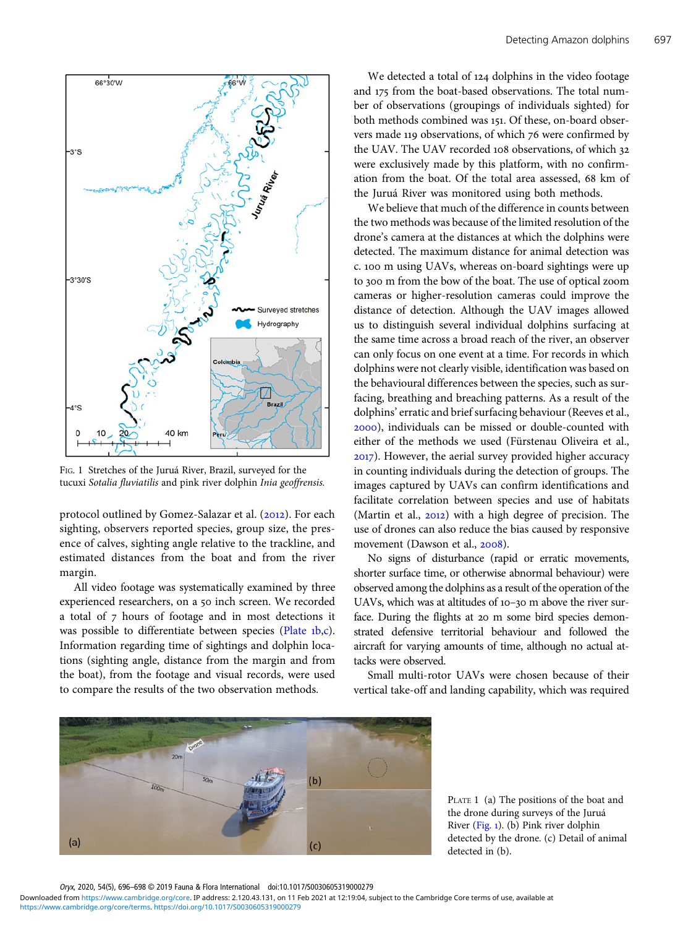<span id="page-2-0"></span>

FIG. 1 Stretches of the Juruá River, Brazil, surveyed for the tucuxi Sotalia fluviatilis and pink river dolphin Inia geoffrensis.

protocol outlined by Gomez-Salazar et al. (2012). For each sighting, observers reported species, group size, the presence of calves, sighting angle relative to the trackline, and estimated distances from the boat and from the river margin.

All video footage was systematically examined by three experienced researchers, on a 50 inch screen. We recorded a total of 7 hours of footage and in most detections it was possible to differentiate between species (Plate 1b,c). Information regarding time of sightings and dolphin locations (sighting angle, distance from the margin and from the boat), from the footage and visual records, were used to compare the results of the two observation methods.

We detected a total of 124 dolphins in the video footage and 175 from the boat-based observations. The total number of observations (groupings of individuals sighted) for both methods combined was 151. Of these, on-board observers made 119 observations, of which 76 were confirmed by the UAV. The UAV recorded 108 observations, of which 32 were exclusively made by this platform, with no confirmation from the boat. Of the total area assessed, 68 km of the Juruá River was monitored using both methods.

We believe that much of the difference in counts between the two methods was because of the limited resolution of the drone's camera at the distances at which the dolphins were detected. The maximum distance for animal detection was c. 100 m using UAVs, whereas on-board sightings were up to 300 m from the bow of the boat. The use of optical zoom cameras or higher-resolution cameras could improve the distance of detection. Although the UAV images allowed us to distinguish several individual dolphins surfacing at the same time across a broad reach of the river, an observer can only focus on one event at a time. For records in which dolphins were not clearly visible, identification was based on the behavioural differences between the species, such as surfacing, breathing and breaching patterns. As a result of the dolphins' erratic and brief surfacing behaviour (Reeves et al., ), individuals can be missed or double-counted with either of the methods we used (Fürstenau Oliveira et al., ). However, the aerial survey provided higher accuracy in counting individuals during the detection of groups. The images captured by UAVs can confirm identifications and facilitate correlation between species and use of habitats (Martin et al.,  $2012$ ) with a high degree of precision. The use of drones can also reduce the bias caused by responsive movement (Dawson et al., 2008).

No signs of disturbance (rapid or erratic movements, shorter surface time, or otherwise abnormal behaviour) were observed among the dolphins as a result of the operation of the UAVs, which was at altitudes of  $10-30$  m above the river surface. During the flights at 20 m some bird species demonstrated defensive territorial behaviour and followed the aircraft for varying amounts of time, although no actual attacks were observed.

Small multi-rotor UAVs were chosen because of their vertical take-off and landing capability, which was required



PLATE 1 (a) The positions of the boat and the drone during surveys of the Juruá River (Fig. ). (b) Pink river dolphin detected by the drone. (c) Detail of animal detected in (b).

Oryx, 2020, 54(5), 696–698 © 2019 Fauna & Flora International doi:10.1017/S0030605319000279

[https://www.cambridge.org/core/terms.](https://www.cambridge.org/core/terms) <https://doi.org/10.1017/S0030605319000279> Downloaded from [https://www.cambridge.org/core.](https://www.cambridge.org/core) IP address: 2.120.43.131, on 11 Feb 2021 at 12:19:04, subject to the Cambridge Core terms of use, available at